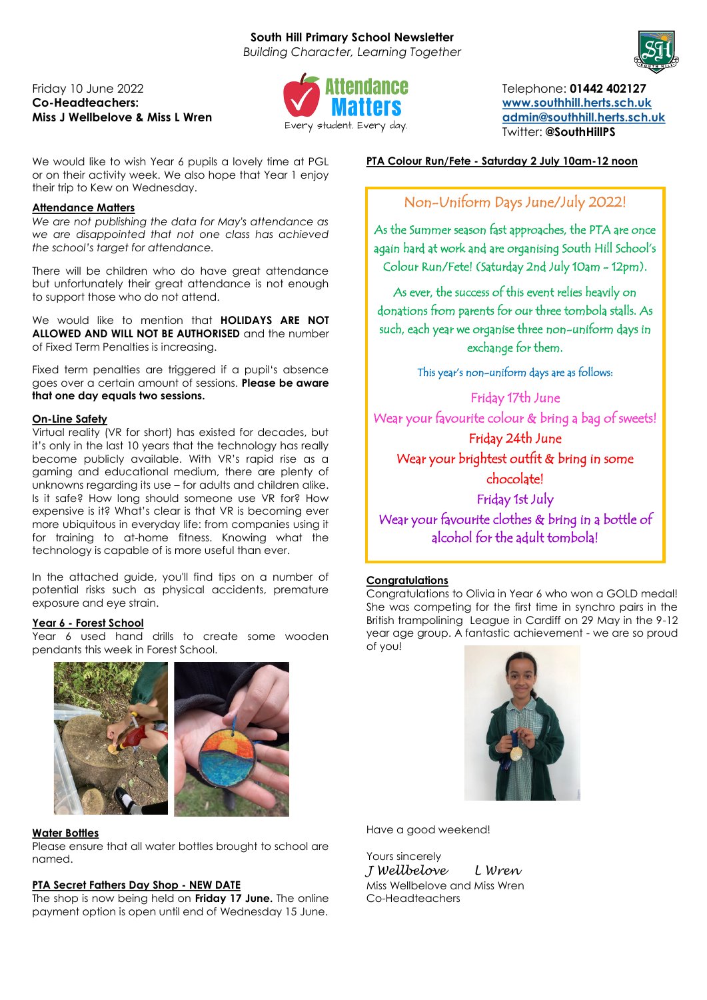# **South Hill Primary School Newsletter**

*Building Character, Learning Together*

# Friday 10 June 2022 Telephone: **01442 402127 Co-Headteachers: [www.southhill.herts.sch.uk](http://www.southhill.herts.sch.uk)**



**Miss J Wellbelove & Miss L Wren [admin@southhill.herts.sch.uk](mailto:admin@southhill.herts.sch.uk) admin@southhill.herts.sch.uk admin@southhill.herts.sch.uk** Twitter: **@SouthHillPS**

We would like to wish Year 6 pupils a lovely time at PGL or on their activity week. We also hope that Year 1 enjoy their trip to Kew on Wednesday.

# **Attendance Matters**

*We are not publishing the data for May's attendance as we are disappointed that not one class has achieved the school's target for attendance.*

There will be children who do have great attendance but unfortunately their great attendance is not enough to support those who do not attend.

We would like to mention that **HOLIDAYS ARE NOT ALLOWED AND WILL NOT BE AUTHORISED** and the number of Fixed Term Penalties is increasing.

Fixed term penalties are triggered if a pupil's absence goes over a certain amount of sessions. **Please be aware that one day equals two sessions.**

## **On-Line Safety**

Virtual reality (VR for short) has existed for decades, but it's only in the last 10 years that the technology has really become publicly available. With VR's rapid rise as a gaming and educational medium, there are plenty of unknowns regarding its use – for adults and children alike. Is it safe? How long should someone use VR for? How expensive is it? What's clear is that VR is becoming ever more ubiquitous in everyday life: from companies using it for training to at-home fitness. Knowing what the technology is capable of is more useful than ever.

In the attached guide, you'll find tips on a number of potential risks such as physical accidents, premature exposure and eye strain.

## **Year 6 - Forest School**

Year 6 used hand drills to create some wooden pendants this week in Forest School.



#### **Water Bottles**

Please ensure that all water bottles brought to school are named.

#### **PTA Secret Fathers Day Shop - NEW DATE**

The shop is now being held on **Friday 17 June.** The online payment option is open until end of Wednesday 15 June. **PTA Colour Run/Fete - Saturday 2 July 10am-12 noon**

# Non-Uniform Days June/July 2022!

As the Summer season fast approaches, the PTA are once again hard at work and are organising South Hill School's Colour Run/Fete! (Saturday 2nd July 10am - 12pm).

As ever, the success of this event relies heavily on donations from parents for our three tombola stalls. As such, each year we organise three non-uniform days in exchange for them.

This year's non-uniform days are as follows:

Friday 17th June Wear your favourite colour & bring a bag of sweets! Friday 24th June Wear your brightest outfit & bring in some chocolate! Friday 1st July Wear your favourite clothes & bring in a bottle of alcohol for the adult tombola!

# **Congratulations**

Congratulations to Olivia in Year 6 who won a GOLD medal! She was competing for the first time in synchro pairs in the British trampolining League in Cardiff on 29 May in the 9-12 year age group. A fantastic achievement - we are so proud of you!



Have a good weekend!

Yours sincerely *J Wellbelove L Wren* Miss Wellbelove and Miss Wren Co-Headteachers